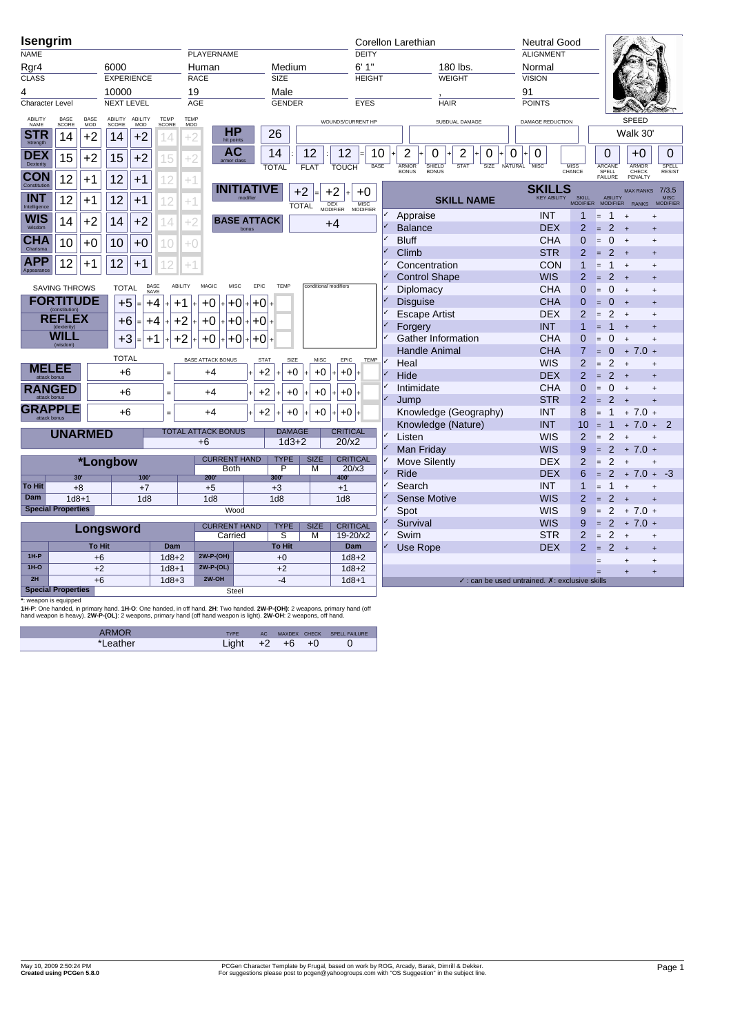| Isengrim                      |                                    |               |                  |                   |                        |             |                           |                             |                         |               |                       |                        |                  | Corellon Larethian |                           |                   |             |         | <b>Neutral Good</b>                                             |                                  |                  |                                  |                   |                         |
|-------------------------------|------------------------------------|---------------|------------------|-------------------|------------------------|-------------|---------------------------|-----------------------------|-------------------------|---------------|-----------------------|------------------------|------------------|--------------------|---------------------------|-------------------|-------------|---------|-----------------------------------------------------------------|----------------------------------|------------------|----------------------------------|-------------------|-------------------------|
| <b>NAME</b>                   |                                    |               |                  |                   |                        |             | <b>PLAYERNAME</b>         |                             |                         |               |                       |                        | <b>DEITY</b>     |                    |                           |                   |             |         | <b>ALIGNMENT</b>                                                |                                  |                  |                                  |                   |                         |
| Rgr4                          |                                    |               | 6000             |                   |                        |             | Human                     |                             | Medium                  |               |                       |                        | 6'1''            |                    |                           | 180 lbs.          |             |         | Normal                                                          |                                  |                  |                                  |                   |                         |
| CLASS                         |                                    |               |                  | <b>EXPERIENCE</b> |                        |             | <b>RACE</b>               |                             | <b>SIZE</b>             |               |                       |                        | <b>HEIGHT</b>    |                    |                           | WEIGHT            |             |         | <b>VISION</b>                                                   |                                  |                  |                                  |                   |                         |
| 4                             |                                    |               | 10000            |                   |                        | 19          |                           |                             | Male                    |               |                       |                        |                  |                    |                           |                   |             |         | 91                                                              |                                  |                  |                                  |                   |                         |
| Character Level               |                                    |               |                  | <b>NEXT LEVEL</b> |                        |             | <b>AGE</b>                |                             | <b>GENDER</b>           |               |                       |                        | EYES             |                    | <b>HAIR</b>               |                   |             |         | <b>POINTS</b>                                                   |                                  |                  |                                  |                   |                         |
| ABILITY<br>NAME               | BASE<br><b>SCORE</b>               | BASE<br>MOD   | ABILITY<br>SCORE | ABILITY<br>MOD    | TEMP<br>SCORE          | TEMP<br>MOD |                           |                             |                         |               |                       | WOUNDS/CURRENT HP      |                  |                    |                           | SUBDUAL DAMAGE    |             |         | DAMAGE REDUCTION                                                |                                  |                  |                                  | SPEED             |                         |
| <b>STR</b>                    | 14                                 | $+2$          | 14               | $+2$              | 14                     |             | HР<br>hit points          |                             | 26                      |               |                       |                        |                  |                    |                           |                   |             |         |                                                                 |                                  |                  |                                  | Walk 30'          |                         |
| Strength                      |                                    |               |                  |                   |                        |             | AC                        |                             | 14                      |               | 12                    | 12                     | 10               | 2                  | 0                         | 2                 | 0           | 0       | 0                                                               |                                  | $\Omega$         |                                  | $+0$              | $\Omega$                |
| <b>DEX</b><br>Dexterity       | 15                                 | $+2$          | 15               | $+2$              | 15                     | $+2$        | armor class               |                             | <b>TOTAL</b>            |               | <b>FLAT</b>           | <b>TOUCH</b>           | <b>BASE</b>      | <b>ARMOR</b>       | SHIELD                    | <b>STAT</b>       | <b>SIZE</b> | NATURAL | <b>MISC</b>                                                     |                                  | ARCANE           |                                  | <b>ARMOR</b>      |                         |
| <b>CON</b>                    | 12                                 | $+1$          | 12               | $+1$              | 12                     | $^{+1}$     |                           |                             |                         |               |                       |                        |                  | <b>BONUS</b>       | <b>BONUS</b>              |                   |             |         |                                                                 | MISS<br>CHANCE                   | SPELL<br>FAILURE |                                  | CHECK<br>PFNAI TY | SPELL<br>RESIST         |
| Constitution                  |                                    |               |                  |                   |                        |             |                           | <b>INITIATIVE</b>           |                         | $+2$          |                       | $+2$                   | +0               |                    |                           |                   |             |         | <b>SKILLS</b>                                                   |                                  |                  |                                  |                   | MAX RANKS 7/3.5         |
| <b>INT</b>                    | 12                                 | $+1$          | 12               | $+1$              | 12                     | +1          |                           |                             |                         | <b>TOTAL</b>  |                       | DEX<br>MODIFIER        | MISC<br>MODIFIER |                    |                           | <b>SKILL NAME</b> |             |         | <b>KEY ABILITY</b>                                              | SKILL<br>MODIFIER                |                  | ABILITY<br>MODIFIER              | RANKS             | MISC<br>MODIFIER        |
| Intelligence<br><b>WIS</b>    |                                    |               |                  |                   |                        |             |                           |                             |                         |               |                       |                        |                  | Appraise           |                           |                   |             |         | <b>INT</b>                                                      | 1                                | E.               | $\mathbf{1}$<br>$\overline{+}$   |                   | $\ddot{}$               |
| Wisdom                        | 14                                 | $+2$          | 14               | $+2$              | 14                     | +2          |                           | <b>BASE ATTACK</b><br>bonus |                         |               |                       | $+4$                   |                  | <b>Balance</b>     |                           |                   |             |         | <b>DEX</b>                                                      | $\overline{2}$                   | $=$              | 2                                | $\ddot{+}$        | $\ddot{}$               |
| <b>CHA</b>                    | 10                                 | $+0$          | 10               | $+0$              | 10                     | $^{+0}$     |                           |                             |                         |               |                       |                        |                  | <b>Bluff</b>       |                           |                   |             |         | <b>CHA</b>                                                      | $\overline{0}$                   | $=$              | $\Omega$<br>$+$                  |                   | $\ddot{}$               |
| Charisma                      |                                    |               |                  |                   |                        |             |                           |                             |                         |               |                       |                        |                  | Climb              |                           |                   |             |         | <b>STR</b>                                                      | $\overline{2}$                   | $=$              | $2 +$                            |                   | $\ddot{}$               |
| <b>APP</b><br>Appearanc       | 12                                 | $+1$          | 12               | $+1$              | 2                      | Ŧ,          |                           |                             |                         |               |                       |                        |                  |                    | Concentration             |                   |             |         | <b>CON</b>                                                      | 1                                | E                | $1 +$                            |                   | $\ddot{}$               |
|                               |                                    |               |                  |                   |                        |             |                           |                             |                         |               |                       |                        |                  |                    | <b>Control Shape</b>      |                   |             |         | <b>WIS</b>                                                      | $\overline{2}$                   |                  | 2<br>$+$                         |                   | $\ddot{}$               |
|                               | <b>SAVING THROWS</b>               |               | <b>TOTAL</b>     |                   | BASE<br>SAVE           | ABILITY     | MAGIC                     | MISC<br>EPIC                | TEMP                    |               | conditional modifier: |                        |                  | Diplomacy          |                           |                   |             |         | <b>CHA</b>                                                      | $\overline{0}$                   | $=$              | $\mathbf{0}$<br>$\overline{+}$   |                   | $\ddot{}$               |
|                               | <b>FORTITUDE</b><br>(constitution) |               | $+5$             |                   | $+4$                   | $+1$        | +0                        | $+0$<br>$+0$                |                         |               |                       |                        |                  | <b>Disquise</b>    |                           |                   |             |         | <b>CHA</b>                                                      | $\overline{0}$                   | н                | $\Omega$<br>$+$                  |                   | $\ddot{}$               |
|                               | <b>REFLEX</b>                      |               | $+6$             |                   | $+4$                   | $+2$        | $+0$                      | $+0$<br>$ + +0 $            |                         |               |                       |                        |                  |                    | <b>Escape Artist</b>      |                   |             |         | <b>DEX</b>                                                      | $\overline{2}$                   |                  | 2<br>$+$                         |                   | $\ddot{}$               |
|                               | (dexterity)                        |               |                  |                   |                        |             |                           |                             |                         |               |                       |                        |                  | Forgery            |                           |                   |             |         | <b>INT</b>                                                      | 1                                |                  | $\overline{1}$                   | $\ddot{}$         |                         |
|                               | <b>WILL</b>                        |               | $+3$             |                   | $+1$                   | $+2$        | $+0$                      | +0<br>+0                    |                         |               |                       |                        |                  |                    | <b>Gather Information</b> |                   |             |         | <b>CHA</b>                                                      | $\overline{0}$                   |                  | $\Omega$<br>$\overline{+}$       |                   |                         |
|                               |                                    |               | <b>TOTAL</b>     |                   |                        |             | <b>BASE ATTACK BONUS</b>  | <b>STAT</b>                 |                         | SIZE          | <b>MISC</b>           | EPIC                   | TEMP             |                    | <b>Handle Animal</b>      |                   |             |         | <b>CHA</b>                                                      | $\overline{7}$                   |                  | $\mathbf{0}$                     | $+7.0 +$          |                         |
|                               | MELEE                              |               | $+6$             |                   | $=$                    |             | $+4$                      | $+2$                        |                         | $+0$          | $+0$                  | $+0$                   |                  | Heal               |                           |                   |             |         | <b>WIS</b>                                                      | $\overline{2}$                   | E                | 2<br>$\overline{+}$              |                   |                         |
|                               |                                    |               |                  |                   |                        |             |                           |                             |                         |               |                       |                        |                  | Hide               |                           |                   |             |         | <b>DEX</b>                                                      | $\overline{2}$                   | н                | 2<br>$+$                         |                   |                         |
| <b>RANGED</b><br>attack honus |                                    |               | $+6$             |                   | $=$                    |             | $+4$                      | $+2$                        |                         | $+0$          | $+0$                  | $+0$                   |                  | Intimidate         |                           |                   |             |         | CHA<br><b>STR</b>                                               | $\overline{0}$<br>$\overline{2}$ | $-$              | $\mathbf 0$<br>2                 | $\ddot{}$         | $\ddot{}$<br>$\ddot{+}$ |
| <b>GRAPPLE</b>                |                                    |               | $+6$             |                   |                        |             | $+4$                      | $+2$                        |                         | $+0$          | $+0$                  | $+0$                   |                  | Jump               | Knowledge (Geography)     |                   |             |         | <b>INT</b>                                                      | 8                                | $=$              | $\overline{1}$                   | $+$<br>$+ 7.0 +$  |                         |
|                               |                                    |               |                  |                   |                        |             |                           |                             |                         |               |                       |                        |                  |                    | Knowledge (Nature)        |                   |             |         | <b>INT</b>                                                      | 10                               |                  | $\overline{1}$                   | $7.0 +$<br>$+$    | $\mathcal{P}$           |
|                               | <b>UNARMED</b>                     |               |                  |                   |                        |             | <b>TOTAL ATTACK BONUS</b> |                             |                         | <b>DAMAGE</b> |                       | <b>CRITICAL</b>        |                  | Listen             |                           |                   |             |         | <b>WIS</b>                                                      | $\overline{2}$                   |                  | 2                                | $\ddot{}$         |                         |
|                               |                                    |               |                  |                   |                        |             | $+6$                      |                             |                         | $1d3+2$       |                       | 20/x2                  |                  |                    | Man Friday                |                   |             |         | <b>WIS</b>                                                      | 9                                | E                | 2                                | $+ 7.0 +$         |                         |
|                               |                                    |               | *Longbow         |                   |                        |             | <b>CURRENT HAND</b>       |                             | <b>TYPE</b>             |               | <b>SIZE</b>           | <b>CRITICAL</b>        |                  |                    | Move Silently             |                   |             |         | <b>DEX</b>                                                      | $\overline{2}$                   | E.               | 2                                | $\ddot{}$         | $\ddot{}$               |
|                               | 30'                                |               |                  | 100'              |                        |             | <b>Both</b><br>200'       |                             | $\overline{\mathsf{P}}$ |               | М                     | 20/x3<br>400'          |                  | Ride               |                           |                   |             |         | <b>DEX</b>                                                      | 6                                |                  | $\overline{2}$                   | $+ 7.0 +$         | $-3$                    |
| <b>To Hit</b>                 |                                    | $+8$          |                  | $+7$              |                        |             | $+5$                      |                             | 300<br>$+3$             |               |                       | $+1$                   |                  | Search             |                           |                   |             |         | <b>INT</b>                                                      | 1                                | $=$              | $\mathbf{1}$                     | $\ddot{}$         | $\ddot{}$               |
| <b>Dam</b>                    | $1d8 + 1$                          |               |                  | 1 <sub>d8</sub>   |                        |             | 1 <sub>d8</sub>           |                             | 1 <sub>d8</sub>         |               |                       | 1 <sub>d8</sub>        |                  |                    | <b>Sense Motive</b>       |                   |             |         | <b>WIS</b>                                                      | $\overline{2}$                   |                  | 2                                | $\ddot{}$         |                         |
|                               | <b>Special Properties</b>          |               |                  |                   |                        |             |                           | Wood                        |                         |               |                       |                        |                  | Spot               |                           |                   |             |         | <b>WIS</b>                                                      | 9                                | $=$              | 2                                | $+7.0+$           |                         |
|                               |                                    |               |                  |                   |                        |             | <b>CURRENT HAND</b>       |                             | <b>TYPE</b>             |               | <b>SIZE</b>           | <b>CRITICAL</b>        |                  | Survival           |                           |                   |             |         | <b>WIS</b>                                                      | 9                                | E.               | 2                                | $+7.0+$           |                         |
|                               |                                    |               | Longsword        |                   |                        |             | Carried                   |                             | ड                       |               | $\overline{M}$        | $19 - 20/x2$           |                  | Swim               |                           |                   |             |         | <b>STR</b>                                                      | $\overline{2}$                   | E                | $\overline{2}$<br>$^{+}$         |                   |                         |
|                               |                                    | <b>To Hit</b> |                  |                   | Dam                    |             |                           |                             | <b>To Hit</b>           |               |                       | Dam                    |                  | Use Rope           |                           |                   |             |         | <b>DEX</b>                                                      | $\overline{2}$                   |                  | $\mathfrak{p}$<br>$\overline{+}$ |                   | $\ddot{}$               |
| $1H-P$<br>$1H-O$              |                                    | $+6$          |                  |                   | $1d8 + 2$              |             | 2W-P-(OH)<br>2W-P-(OL)    |                             | $+0$                    |               |                       | $1d8 + 2$              |                  |                    |                           |                   |             |         |                                                                 |                                  |                  |                                  | $\ddot{}$         | $\ddot{}$               |
| 2H                            |                                    | $+2$<br>$+6$  |                  |                   | $1d8 + 1$<br>$1d8 + 3$ |             | $2W-OH$                   |                             | $+2$<br>$-4$            |               |                       | $1d8 + 2$<br>$1d8 + 1$ |                  |                    |                           |                   |             |         | $\checkmark$ : can be used untrained. $\chi$ : exclusive skills |                                  |                  |                                  | $\ddot{}$         | $\ddot{}$               |
|                               | <b>Special Properties</b>          |               |                  |                   |                        |             |                           | Steel                       |                         |               |                       |                        |                  |                    |                           |                   |             |         |                                                                 |                                  |                  |                                  |                   |                         |
|                               |                                    |               |                  |                   |                        |             |                           |                             |                         |               |                       |                        |                  |                    |                           |                   |             |         |                                                                 |                                  |                  |                                  |                   |                         |

\*: weapon is equipped<br>1H-P: One handed, in primary hand. 1H-O: One handed, in off hand. 2H: Two handed. 2W-P-(OH): 2 weapons, primary hand (off<br>hand weapon is heavy). 2W-P-(OL): 2 weapons, primary hand (off hand weapon is

| ARMOR    | <b>TYPE</b> | AC . |    |      | MAXDEX CHECK SPELL FAILURE |
|----------|-------------|------|----|------|----------------------------|
| *Leather | ight        | $+2$ | +6 | $+0$ | ◡                          |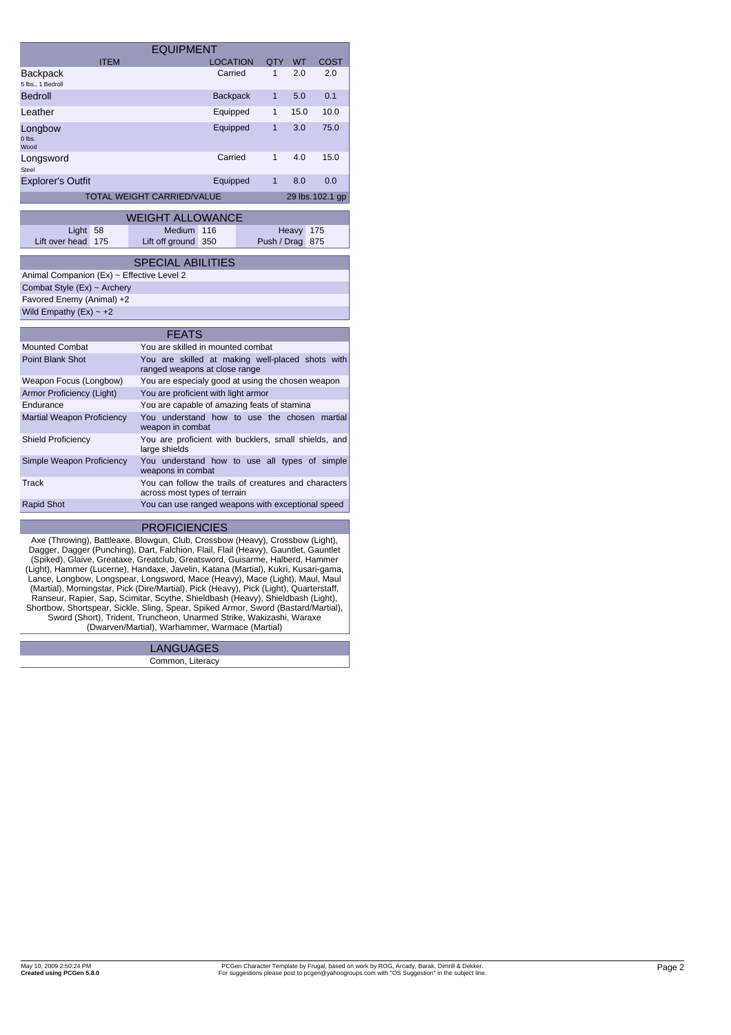|                                                                                                                                                                                                                                                                                                                                                                                                                                                                                                                                                                                                                                                                                                                                                                       | <b>EQUIPMENT</b>                                                                      |                 |              |           |                  |
|-----------------------------------------------------------------------------------------------------------------------------------------------------------------------------------------------------------------------------------------------------------------------------------------------------------------------------------------------------------------------------------------------------------------------------------------------------------------------------------------------------------------------------------------------------------------------------------------------------------------------------------------------------------------------------------------------------------------------------------------------------------------------|---------------------------------------------------------------------------------------|-----------------|--------------|-----------|------------------|
| <b>ITEM</b>                                                                                                                                                                                                                                                                                                                                                                                                                                                                                                                                                                                                                                                                                                                                                           |                                                                                       | <b>LOCATION</b> | QTY          | <b>WT</b> | <b>COST</b>      |
| Backpack<br>5 lbs., 1 Bedroll                                                                                                                                                                                                                                                                                                                                                                                                                                                                                                                                                                                                                                                                                                                                         |                                                                                       | Carried         | 1            | 2.0       | 2.0              |
| Bedroll                                                                                                                                                                                                                                                                                                                                                                                                                                                                                                                                                                                                                                                                                                                                                               |                                                                                       | <b>Backpack</b> | $\mathbf{1}$ | 5.0       | 0.1              |
| Leather                                                                                                                                                                                                                                                                                                                                                                                                                                                                                                                                                                                                                                                                                                                                                               |                                                                                       | Equipped        | 1            | 15.0      | 10.0             |
| Longbow<br>0 lbs.<br>Wood                                                                                                                                                                                                                                                                                                                                                                                                                                                                                                                                                                                                                                                                                                                                             |                                                                                       | Equipped        | $\mathbf{1}$ | 3.0       | 75.0             |
| Longsword<br><b>Steel</b>                                                                                                                                                                                                                                                                                                                                                                                                                                                                                                                                                                                                                                                                                                                                             |                                                                                       | Carried         | $\mathbf{1}$ | 4.0       | 15.0             |
| Explorer's Outfit                                                                                                                                                                                                                                                                                                                                                                                                                                                                                                                                                                                                                                                                                                                                                     |                                                                                       | Equipped        | $\mathbf{1}$ | 8.0       | 0.0              |
|                                                                                                                                                                                                                                                                                                                                                                                                                                                                                                                                                                                                                                                                                                                                                                       | TOTAL WEIGHT CARRIED/VALUE                                                            |                 |              |           | 29 lbs. 102.1 gp |
|                                                                                                                                                                                                                                                                                                                                                                                                                                                                                                                                                                                                                                                                                                                                                                       | <b>WEIGHT ALLOWANCE</b>                                                               |                 |              |           |                  |
|                                                                                                                                                                                                                                                                                                                                                                                                                                                                                                                                                                                                                                                                                                                                                                       | <b>Medium</b>                                                                         | 116             |              |           | 175              |
| Light<br>58<br>Lift over head<br>175                                                                                                                                                                                                                                                                                                                                                                                                                                                                                                                                                                                                                                                                                                                                  | Lift off ground                                                                       | 350             | Push / Drag  | Heavy     | 875              |
|                                                                                                                                                                                                                                                                                                                                                                                                                                                                                                                                                                                                                                                                                                                                                                       |                                                                                       |                 |              |           |                  |
|                                                                                                                                                                                                                                                                                                                                                                                                                                                                                                                                                                                                                                                                                                                                                                       | <b>SPECIAL ABILITIES</b>                                                              |                 |              |           |                  |
| Animal Companion (Ex) ~ Effective Level 2                                                                                                                                                                                                                                                                                                                                                                                                                                                                                                                                                                                                                                                                                                                             |                                                                                       |                 |              |           |                  |
| Combat Style (Ex) ~ Archery                                                                                                                                                                                                                                                                                                                                                                                                                                                                                                                                                                                                                                                                                                                                           |                                                                                       |                 |              |           |                  |
| Favored Enemy (Animal) +2                                                                                                                                                                                                                                                                                                                                                                                                                                                                                                                                                                                                                                                                                                                                             |                                                                                       |                 |              |           |                  |
| Wild Empathy $(EX) \sim +2$                                                                                                                                                                                                                                                                                                                                                                                                                                                                                                                                                                                                                                                                                                                                           |                                                                                       |                 |              |           |                  |
|                                                                                                                                                                                                                                                                                                                                                                                                                                                                                                                                                                                                                                                                                                                                                                       |                                                                                       |                 |              |           |                  |
|                                                                                                                                                                                                                                                                                                                                                                                                                                                                                                                                                                                                                                                                                                                                                                       | <b>FEATS</b>                                                                          |                 |              |           |                  |
| <b>Mounted Combat</b>                                                                                                                                                                                                                                                                                                                                                                                                                                                                                                                                                                                                                                                                                                                                                 | You are skilled in mounted combat                                                     |                 |              |           |                  |
| <b>Point Blank Shot</b>                                                                                                                                                                                                                                                                                                                                                                                                                                                                                                                                                                                                                                                                                                                                               | You are skilled at making well-placed shots with<br>ranged weapons at close range     |                 |              |           |                  |
| Weapon Focus (Longbow)                                                                                                                                                                                                                                                                                                                                                                                                                                                                                                                                                                                                                                                                                                                                                | You are especialy good at using the chosen weapon                                     |                 |              |           |                  |
| Armor Proficiency (Light)                                                                                                                                                                                                                                                                                                                                                                                                                                                                                                                                                                                                                                                                                                                                             | You are proficient with light armor                                                   |                 |              |           |                  |
| Endurance                                                                                                                                                                                                                                                                                                                                                                                                                                                                                                                                                                                                                                                                                                                                                             | You are capable of amazing feats of stamina                                           |                 |              |           |                  |
| <b>Martial Weapon Proficiency</b>                                                                                                                                                                                                                                                                                                                                                                                                                                                                                                                                                                                                                                                                                                                                     | You understand how to use the chosen martial<br>weapon in combat                      |                 |              |           |                  |
| <b>Shield Proficiency</b>                                                                                                                                                                                                                                                                                                                                                                                                                                                                                                                                                                                                                                                                                                                                             | You are proficient with bucklers, small shields, and<br>large shields                 |                 |              |           |                  |
| Simple Weapon Proficiency                                                                                                                                                                                                                                                                                                                                                                                                                                                                                                                                                                                                                                                                                                                                             | You understand how to use all types of simple<br>weapons in combat                    |                 |              |           |                  |
| Track                                                                                                                                                                                                                                                                                                                                                                                                                                                                                                                                                                                                                                                                                                                                                                 | You can follow the trails of creatures and characters<br>across most types of terrain |                 |              |           |                  |
| <b>Rapid Shot</b>                                                                                                                                                                                                                                                                                                                                                                                                                                                                                                                                                                                                                                                                                                                                                     | You can use ranged weapons with exceptional speed                                     |                 |              |           |                  |
|                                                                                                                                                                                                                                                                                                                                                                                                                                                                                                                                                                                                                                                                                                                                                                       | <b>PROFICIENCIES</b>                                                                  |                 |              |           |                  |
| Axe (Throwing), Battleaxe, Blowgun, Club, Crossbow (Heavy), Crossbow (Light),<br>Dagger, Dagger (Punching), Dart, Falchion, Flail, Flail (Heavy), Gauntlet, Gauntlet<br>(Spiked), Glaive, Greataxe, Greatclub, Greatsword, Guisarme, Halberd, Hammer<br>(Light), Hammer (Lucerne), Handaxe, Javelin, Katana (Martial), Kukri, Kusari-gama,<br>Lance, Longbow, Longspear, Longsword, Mace (Heavy), Mace (Light), Maul, Maul<br>(Martial), Morningstar, Pick (Dire/Martial), Pick (Heavy), Pick (Light), Quarterstaff,<br>Ranseur, Rapier, Sap, Scimitar, Scythe, Shieldbash (Heavy), Shieldbash (Light),<br>Shortbow, Shortspear, Sickle, Sling, Spear, Spiked Armor, Sword (Bastard/Martial),<br>Sword (Short), Trident, Truncheon, Unarmed Strike, Wakizashi, Waraxe | (Dwarven/Martial), Warhammer, Warmace (Martial)                                       |                 |              |           |                  |

| GH. |
|-----|
|     |

Common, Literacy